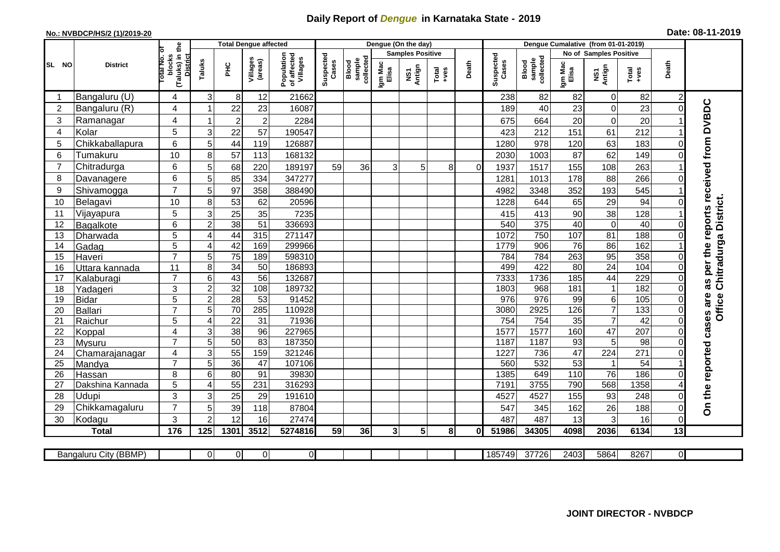## **Daily Report of** *Dengue* **in Karnataka State - 2019**

## **No.: NVBDCP/HS/2 (1)/2019-20 Date: 08-11-2019**

|                |                           |                                                             | <b>Total Dengue affected</b> |                  |                     |                                       | Dengue (On the day) |                              |                  |                         |                  |          |                    |                              |                  |                        |                  |          |                                        |
|----------------|---------------------------|-------------------------------------------------------------|------------------------------|------------------|---------------------|---------------------------------------|---------------------|------------------------------|------------------|-------------------------|------------------|----------|--------------------|------------------------------|------------------|------------------------|------------------|----------|----------------------------------------|
|                |                           |                                                             |                              |                  |                     |                                       |                     |                              |                  | <b>Samples Positive</b> |                  |          |                    |                              |                  | No of Samples Positive |                  |          |                                        |
| SL NO          | <b>District</b>           | (Taluks) in the<br>otal No. of<br>blocks<br><b>District</b> | Taluks                       | Ξ                | Villages<br>(areas) | Population<br>of affected<br>Villages | Suspected<br>Cases  | sample<br>collected<br>Blood | Igm Mac<br>Elisa | NS1<br>Antign           | $Tota$<br>$+ves$ | Death    | Suspected<br>Cases | sample<br>collected<br>Blood | Igm Mac<br>Elisa | NS1<br>Antign          | Total<br>$+ve$ s | Death    |                                        |
| -1             | Bangaluru (U)             | 4                                                           | 3                            | 8 <sup>1</sup>   | 12                  | 21662                                 |                     |                              |                  |                         |                  |          | 238                | 82                           | 82               | $\mathbf 0$            | 82               | 2        |                                        |
| $\overline{2}$ | Bangaluru (R)             | 4                                                           | -1                           | 22               | 23                  | 16087                                 |                     |                              |                  |                         |                  |          | 189                | 40                           | 23               | $\mathbf 0$            | 23               | $\Omega$ |                                        |
| 3              | Ramanagar                 | 4                                                           | $\overline{\mathbf{1}}$      | $\boldsymbol{2}$ | $\overline{c}$      | 2284                                  |                     |                              |                  |                         |                  |          | 675                | 664                          | 20               | $\mathbf 0$            | 20               |          | as per the reports received from DVBDC |
| 4              | Kolar                     | 5                                                           | 3                            | 22               | 57                  | 190547                                |                     |                              |                  |                         |                  |          | 423                | 212                          | 151              | 61                     | 212              |          |                                        |
| 5              | Chikkaballapura           | 6                                                           | 5                            | 44               | 119                 | 126887                                |                     |                              |                  |                         |                  |          | 1280               | 978                          | 120              | 63                     | 183              | 0        |                                        |
| 6              | Tumakuru                  | 10                                                          | 8                            | 57               | 113                 | 168132                                |                     |                              |                  |                         |                  |          | 2030               | 1003                         | 87               | 62                     | 149              | $\Omega$ |                                        |
| $\overline{7}$ | Chitradurga               | 6                                                           | 5                            | 68               | 220                 | 189197                                | 59                  | 36                           | 3 <sup>1</sup>   | 5                       | 8                | $\Omega$ | 1937               | 1517                         | 155              | 108                    | 263              |          |                                        |
| 8              | Davanagere                | 6                                                           | 5                            | 85               | 334                 | 347277                                |                     |                              |                  |                         |                  |          | 1281               | 1013                         | 178              | 88                     | 266              | $\Omega$ |                                        |
| 9              | Shivamogga                | $\overline{7}$                                              | 5                            | 97               | 358                 | 388490                                |                     |                              |                  |                         |                  |          | 4982               | 3348                         | 352              | 193                    | 545              |          |                                        |
| 10             | Belagavi                  | 10                                                          | 8                            | 53               | 62                  | 20596                                 |                     |                              |                  |                         |                  |          | 1228               | 644                          | 65               | 29                     | 94               |          | Chitradurga District.                  |
| 11             | Vijayapura                | 5                                                           | 3                            | 25               | 35                  | 7235                                  |                     |                              |                  |                         |                  |          | 415                | 413                          | 90               | 38                     | 128              |          |                                        |
| 12             | <b>Bagalkote</b>          | 6                                                           | $\overline{2}$               | 38               | 51                  | 336693                                |                     |                              |                  |                         |                  |          | 540                | 375                          | 40               | $\mathbf 0$            | 40               | $\Omega$ |                                        |
| 13             | Dharwada                  | 5                                                           | 4                            | 44               | 315                 | 271147                                |                     |                              |                  |                         |                  |          | 1072               | 750                          | 107              | 81                     | 188              | 0        |                                        |
| 14             | Gadag                     | $\overline{5}$                                              | 4                            | 42               | 169                 | 299966                                |                     |                              |                  |                         |                  |          | 1779               | 906                          | 76               | 86                     | 162              |          |                                        |
| 15             | Haveri                    | $\overline{7}$                                              | 5                            | 75               | 189                 | 598310                                |                     |                              |                  |                         |                  |          | 784                | 784                          | 263              | 95                     | 358              | 0        |                                        |
| 16             | Uttara kannada            | $\overline{11}$                                             | 8                            | 34               | $\overline{50}$     | 186893                                |                     |                              |                  |                         |                  |          | 499                | 422                          | 80               | 24                     | 104              | $\Omega$ |                                        |
| 17             | Kalaburagi                | $\overline{7}$                                              | 6                            | 43               | $\overline{56}$     | 132687                                |                     |                              |                  |                         |                  |          | 7333               | 1736                         | 185              | 44                     | 229              | $\Omega$ |                                        |
| 18             | Yadageri                  | 3                                                           | $\overline{c}$               | 32               | 108                 | 189732                                |                     |                              |                  |                         |                  |          | 1803               | 968                          | 181              | $\mathbf{1}$           | 182              |          |                                        |
| 19             | <b>Bidar</b>              | 5                                                           | $\overline{c}$               | $\overline{28}$  | 53                  | 91452                                 |                     |                              |                  |                         |                  |          | 976                | $\overline{976}$             | 99               | $\,6$                  | 105              | 0        |                                        |
| 20             | <b>Ballari</b>            | $\overline{7}$                                              | 5                            | 70               | 285                 | 110928                                |                     |                              |                  |                         |                  |          | 3080               | 2925                         | 126              | $\overline{7}$         | 133              | $\Omega$ | <b>Office</b>                          |
| 21             | Raichur                   | $\overline{5}$                                              | 4                            | $\overline{22}$  | $\overline{31}$     | 71936                                 |                     |                              |                  |                         |                  |          | 754                | 754                          | 35               | $\overline{7}$         | 42               | $\Omega$ | cases are                              |
| 22             | Koppal                    | 4                                                           | 3                            | $\overline{38}$  | 96                  | 227965                                |                     |                              |                  |                         |                  |          | 1577               | 1577                         | 160              | 47                     | 207              | $\Omega$ |                                        |
| 23             | Mysuru                    | $\overline{7}$                                              | 5                            | 50               | 83                  | 187350                                |                     |                              |                  |                         |                  |          | 1187               | 1187                         | 93               | 5                      | $\overline{98}$  | 0        |                                        |
| 24             | Chamarajanagar            | 4                                                           | 3                            | 55               | 159                 | 321246                                |                     |                              |                  |                         |                  |          | 1227               | 736                          | 47               | 224                    | 271              |          |                                        |
| 25             | Mandya                    | $\overline{7}$                                              | 5                            | 36               | 47                  | 107106                                |                     |                              |                  |                         |                  |          | 560                | 532                          | $\overline{53}$  | $\mathbf{1}$           | $\overline{54}$  |          |                                        |
| 26             | Hassan                    | 8                                                           | 6<br>4                       | 80               | 91<br>231           | 39830<br>316293                       |                     |                              |                  |                         |                  |          | 1385               | 649<br>3755                  | 110<br>790       | $\overline{76}$<br>568 | 186<br>1358      | $\Omega$ |                                        |
| 27<br>28       | Dakshina Kannada<br>Udupi | 5<br>3                                                      | 3                            | 55<br>25         | 29                  | 191610                                |                     |                              |                  |                         |                  |          | 7191<br>4527       | 4527                         | 155              | 93                     | 248              | $\Omega$ | On the reported                        |
| 29             | Chikkamagaluru            | $\overline{7}$                                              | 5                            | 39               | 118                 | 87804                                 |                     |                              |                  |                         |                  |          | 547                | 345                          | 162              | 26                     | 188              | 0        |                                        |
| 30             | Kodagu                    | 3                                                           | $\mathcal{P}$                | 12               | 16                  | 27474                                 |                     |                              |                  |                         |                  |          | 487                | 487                          | 13               | 3                      | 16               | $\Omega$ |                                        |
|                | <b>Total</b>              | 176                                                         | 125                          | 1301             | 3512                | 5274816                               | 59                  | 36                           | 3 <sup>1</sup>   | 5                       | 8                | 01       | 51986              | 34305                        | 4098             | 2036                   | 6134             | 13       |                                        |
|                |                           |                                                             |                              |                  |                     |                                       |                     |                              |                  |                         |                  |          |                    |                              |                  |                        |                  |          |                                        |
|                | Bangaluru City (BBMP)     |                                                             | $\Omega$                     | ΟI               | $\overline{0}$      | $\overline{0}$                        |                     |                              |                  |                         |                  |          | 185749             | 37726                        | 2403             | 5864                   | 8267             | ΟI       |                                        |